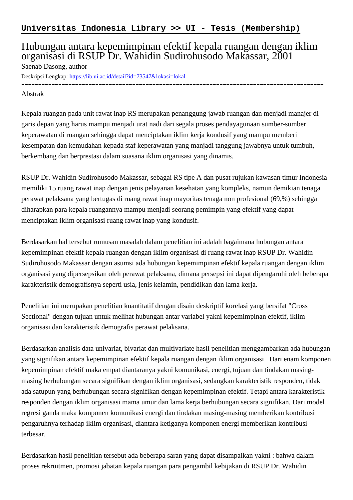## Hubungan antara kepemimpinan efektif kepala ruangan dengan iklim organisasi di RSUP Dr. Wahidin Sudirohusodo Makassar, 2001

Saenab Dasong, author

Deskripsi Lengkap:<https://lib.ui.ac.id/detail?id=73547&lokasi=lokal>

------------------------------------------------------------------------------------------

## Abstrak

Kepala ruangan pada unit rawat inap RS merupakan penanggung jawab ruangan dan menjadi manajer di garis depan yang harus mampu menjadi urat nadi dari segala proses pendayagunaan sumber-sumber keperawatan di ruangan sehingga dapat menciptakan iklim kerja kondusif yang mampu memberi kesempatan dan kemudahan kepada staf keperawatan yang manjadi tanggung jawabnya untuk tumbuh, berkembang dan berprestasi dalam suasana iklim organisasi yang dinamis.

RSUP Dr. Wahidin Sudirohusodo Makassar, sebagai RS tipe A dan pusat rujukan kawasan timur Indonesia memiliki 15 ruang rawat inap dengan jenis pelayanan kesehatan yang kompleks, namun demikian tenaga perawat pelaksana yang bertugas di ruang rawat inap mayoritas tenaga non profesional (69,%) sehingga diharapkan para kepala ruangannya mampu menjadi seorang pemimpin yang efektif yang dapat menciptakan iklim organisasi ruang rawat inap yang kondusif.

Berdasarkan hal tersebut rumusan masalah dalam penelitian ini adalah bagaimana hubungan antara kepemimpinan efektif kepala ruangan dengan iklim organisasi di ruang rawat inap RSUP Dr. Wahidin Sudirohusodo Makassar dengan asumsi ada hubungan kepemimpinan efektif kepala ruangan dengan iklim organisasi yang dipersepsikan oleh perawat pelaksana, dimana persepsi ini dapat dipengaruhi oleh beberapa karakteristik demografisnya seperti usia, jenis kelamin, pendidikan dan lama kerja.

Penelitian ini merupakan penelitian kuantitatif dengan disain deskriptif korelasi yang bersifat "Cross Sectional" dengan tujuan untuk melihat hubungan antar variabel yakni kepemimpinan efektif, iklim organisasi dan karakteristik demografis perawat pelaksana.

Berdasarkan analisis data univariat, bivariat dan multivariate hasil penelitian menggambarkan ada hubungan yang signifikan antara kepemimpinan efektif kepala ruangan dengan iklim organisasi\_ Dari enam komponen kepemimpinan efektif maka empat diantaranya yakni komunikasi, energi, tujuan dan tindakan masingmasing berhubungan secara signifikan dengan iklim organisasi, sedangkan karakteristik responden, tidak ada satupun yang berhubungan secara signifikan dengan kepemimpinan efektif. Tetapi antara karakteristik responden dengan iklim organisasi mama umur dan lama kerja berhubungan secara signifikan. Dari model regresi ganda maka komponen komunikasi energi dan tindakan masing-masing memberikan kontribusi pengaruhnya terhadap iklim organisasi, diantara ketiganya komponen energi memberikan kontribusi terbesar.

Berdasarkan hasil penelitian tersebut ada beberapa saran yang dapat disampaikan yakni : bahwa dalam proses rekruitmen, promosi jabatan kepala ruangan para pengambil kebijakan di RSUP Dr. Wahidin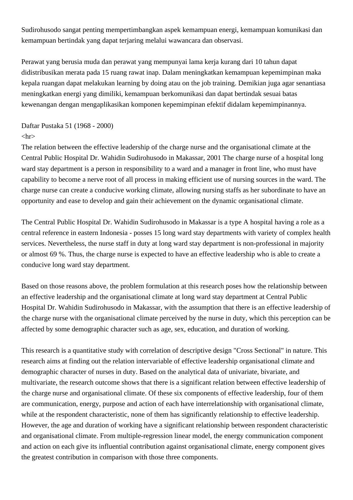Sudirohusodo sangat penting mempertimbangkan aspek kemampuan energi, kemampuan komunikasi dan kemampuan bertindak yang dapat terjaring melalui wawancara dan observasi.

Perawat yang berusia muda dan perawat yang mempunyai lama kerja kurang dari 10 tahun dapat didistribusikan merata pada 15 ruang rawat inap. Dalam meningkatkan kemampuan kepemimpinan maka kepala ruangan dapat melakukan learning by doing atau on the job training. Demikian juga agar senantiasa meningkatkan energi yang dimiliki, kemampuan berkomunikasi dan dapat bertindak sesuai batas kewenangan dengan mengaplikasikan komponen kepemimpinan efektif didalam kepemimpinannya.

## Daftar Pustaka 51 (1968 - 2000)

## $\langle$ hr $>$

The relation between the effective leadership of the charge nurse and the organisational climate at the Central Public Hospital Dr. Wahidin Sudirohusodo in Makassar, 2001 The charge nurse of a hospital long ward stay department is a person in responsibility to a ward and a manager in front line, who must have capability to become a nerve root of all process in making efficient use of nursing sources in the ward. The charge nurse can create a conducive working climate, allowing nursing staffs as her subordinate to have an opportunity and ease to develop and gain their achievement on the dynamic organisational climate.

The Central Public Hospital Dr. Wahidin Sudirohusodo in Makassar is a type A hospital having a role as a central reference in eastern Indonesia - posses 15 long ward stay departments with variety of complex health services. Nevertheless, the nurse staff in duty at long ward stay department is non-professional in majority or almost 69 %. Thus, the charge nurse is expected to have an effective leadership who is able to create a conducive long ward stay department.

Based on those reasons above, the problem formulation at this research poses how the relationship between an effective leadership and the organisational climate at long ward stay department at Central Public Hospital Dr. Wahidin Sudirohusodo in Makassar, with the assumption that there is an effective leadership of the charge nurse with the organisational climate perceived by the nurse in duty, which this perception can be affected by some demographic character such as age, sex, education, and duration of working.

This research is a quantitative study with correlation of descriptive design "Cross Sectional" in nature. This research aims at finding out the relation intervariable of effective leadership organisational climate and demographic character of nurses in duty. Based on the analytical data of univariate, bivariate, and multivariate, the research outcome shows that there is a significant relation between effective leadership of the charge nurse and organisational climate. Of these six components of effective leadership, four of them are communication, energy, purpose and action of each have interrelationship with organisational climate, while at the respondent characteristic, none of them has significantly relationship to effective leadership. However, the age and duration of working have a significant relationship between respondent characteristic and organisational climate. From multiple-regression linear model, the energy communication component and action on each give its influential contribution against organisational climate, energy component gives the greatest contribution in comparison with those three components.